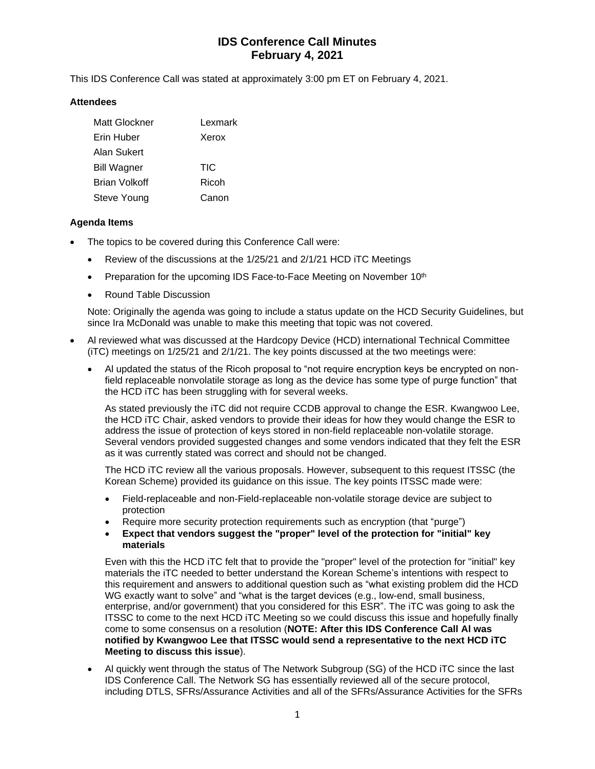# **IDS Conference Call Minutes February 4, 2021**

This IDS Conference Call was stated at approximately 3:00 pm ET on February 4, 2021.

### **Attendees**

| Matt Glockner      | Lexmark |
|--------------------|---------|
| Erin Huber         | Xerox   |
| <b>Alan Sukert</b> |         |
| <b>Bill Wagner</b> | TIC     |
| Brian Volkoff      | Ricoh   |
| Steve Young        | Canon   |

### **Agenda Items**

- The topics to be covered during this Conference Call were:
	- Review of the discussions at the 1/25/21 and 2/1/21 HCD iTC Meetings
	- Preparation for the upcoming IDS Face-to-Face Meeting on November 10<sup>th</sup>
	- Round Table Discussion

Note: Originally the agenda was going to include a status update on the HCD Security Guidelines, but since Ira McDonald was unable to make this meeting that topic was not covered.

- Al reviewed what was discussed at the Hardcopy Device (HCD) international Technical Committee (iTC) meetings on 1/25/21 and 2/1/21. The key points discussed at the two meetings were:
	- Al updated the status of the Ricoh proposal to "not require encryption keys be encrypted on nonfield replaceable nonvolatile storage as long as the device has some type of purge function" that the HCD iTC has been struggling with for several weeks.

As stated previously the iTC did not require CCDB approval to change the ESR. Kwangwoo Lee, the HCD iTC Chair, asked vendors to provide their ideas for how they would change the ESR to address the issue of protection of keys stored in non-field replaceable non-volatile storage. Several vendors provided suggested changes and some vendors indicated that they felt the ESR as it was currently stated was correct and should not be changed.

The HCD iTC review all the various proposals. However, subsequent to this request ITSSC (the Korean Scheme) provided its guidance on this issue. The key points ITSSC made were:

- Field-replaceable and non-Field-replaceable non-volatile storage device are subject to protection
- Require more security protection requirements such as encryption (that "purge")
- **Expect that vendors suggest the "proper" level of the protection for "initial" key materials**

Even with this the HCD iTC felt that to provide the "proper" level of the protection for "initial" key materials the iTC needed to better understand the Korean Scheme's intentions with respect to this requirement and answers to additional question such as "what existing problem did the HCD WG exactly want to solve" and "what is the target devices (e.g., low-end, small business, enterprise, and/or government) that you considered for this ESR". The iTC was going to ask the ITSSC to come to the next HCD iTC Meeting so we could discuss this issue and hopefully finally come to some consensus on a resolution (**NOTE: After this IDS Conference Call Al was notified by Kwangwoo Lee that ITSSC would send a representative to the next HCD iTC Meeting to discuss this issue**).

• Al quickly went through the status of The Network Subgroup (SG) of the HCD iTC since the last IDS Conference Call. The Network SG has essentially reviewed all of the secure protocol, including DTLS, SFRs/Assurance Activities and all of the SFRs/Assurance Activities for the SFRs